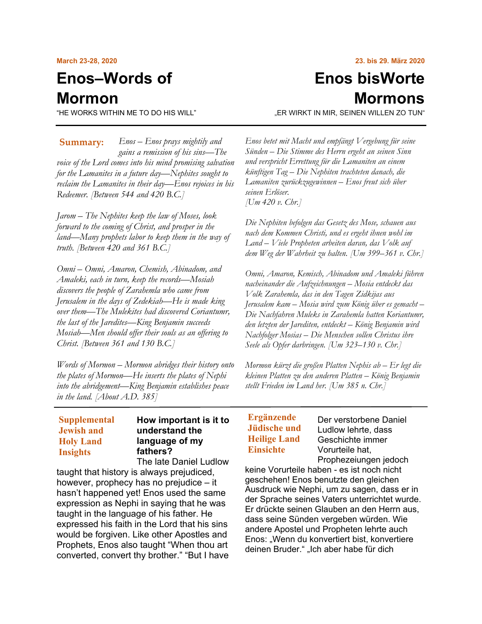#### **March 23-28, 2020**

# **Enos–Words of Mormon**

"HE WORKS WITHIN ME TO DO HIS WILL"

*Enos – Enos prays mightily and gains a remission of his sins—The voice of the Lord comes into his mind promising salvation for the Lamanites in a future day—Nephites sought to reclaim the Lamanites in their day—Enos rejoices in his Redeemer. [Between 544 and 420 B.C.]* **Summary:**

*Jarom – The Nephites keep the law of Moses, look forward to the coming of Christ, and prosper in the land—Many prophets labor to keep them in the way of truth. [Between 420 and 361 B.C.]*

*Omni – Omni, Amaron, Chemish, Abinadom, and Amaleki, each in turn, keep the records—Mosiah discovers the people of Zarahemla who came from Jerusalem in the days of Zedekiah—He is made king over them—The Mulekites had discovered Coriantumr, the last of the Jaredites—King Benjamin succeeds Mosiah—Men should offer their souls as an offering to Christ. [Between 361 and 130 B.C.]*

*Words of Mormon – Mormon abridges their history onto the plates of Mormon—He inserts the plates of Nephi into the abridgement—King Benjamin establishes peace in the land. [About A.D. 385]*

## **Supplemental Jewish and Holy Land Insights**

## **How important is it to understand the language of my fathers?**

The late Daniel Ludlow

taught that history is always prejudiced, however, prophecy has no prejudice – it hasn't happened yet! Enos used the same expression as Nephi in saying that he was taught in the language of his father. He expressed his faith in the Lord that his sins would be forgiven. Like other Apostles and Prophets, Enos also taught "When thou art converted, convert thy brother." "But I have

# **Enos bisWorte Mormons**

"ER WIRKT IN MIR, SEINEN WILLEN ZO TUN"

*Enos betet mit Macht und empfängt Vergebung für seine Sünden – Die Stimme des Herrn ergeht an seinen Sinn und verspricht Errettung für die Lamaniten an einem künftigen Tag – Die Nephiten trachteten danach, die Lamaniten zurückzugewinnen – Enos freut sich über seinen Erlöser. [Um 420 v. Chr.]*

*Die Nephiten befolgen das Gesetz des Mose, schauen aus nach dem Kommen Christi, und es ergeht ihnen wohl im Land – Viele Propheten arbeiten daran, das Volk auf dem Weg der Wahrheit zu halten. [Um 399–361 v. Chr.]*

*Omni, Amaron, Kemisch, Abinadom und Amaleki führen nacheinander die Aufzeichnungen – Mosia entdeckt das Volk Zarahemla, das in den Tagen Zidkijas aus Jerusalem kam – Mosia wird zum König über es gemacht – Die Nachfahren Muleks in Zarahemla hatten Koriantumr, den letzten der Jarediten, entdeckt – König Benjamin wird Nachfolger Mosias – Die Menschen sollen Christus ihre Seele als Opfer darbringen. [Um 323–130 v. Chr.]*

*Mormon kürzt die großen Platten Nephis ab – Er legt die kleinen Platten zu den anderen Platten – König Benjamin stellt Frieden im Land her. [Um 385 n. Chr.]*

## **Ergänzende Jüdische und Heilige Land Einsichte**

Der verstorbene Daniel Ludlow lehrte, dass Geschichte immer Vorurteile hat, Prophezeiungen jedoch

keine Vorurteile haben - es ist noch nicht geschehen! Enos benutzte den gleichen Ausdruck wie Nephi, um zu sagen, dass er in der Sprache seines Vaters unterrichtet wurde. Er drückte seinen Glauben an den Herrn aus, dass seine Sünden vergeben würden. Wie andere Apostel und Propheten lehrte auch Enos: "Wenn du konvertiert bist, konvertiere deinen Bruder." "Ich aber habe für dich

#### **23. bis 29. März 2020**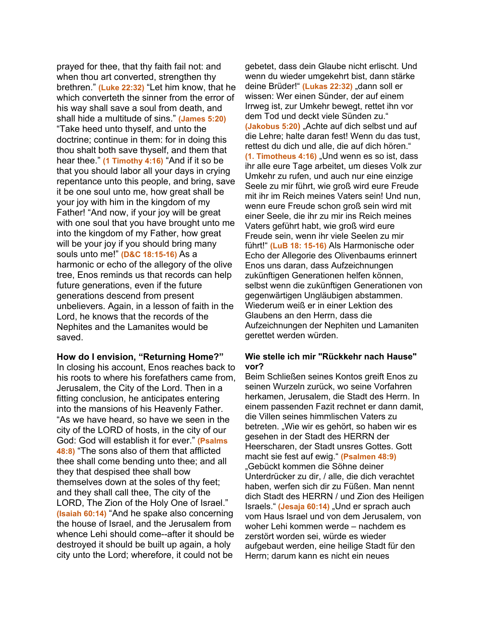prayed for thee, that thy faith fail not: and when thou art converted, strengthen thy brethren." **(Luke 22:32)** "Let him know, that he which converteth the sinner from the error of his way shall save a soul from death, and shall hide a multitude of sins." **(James 5:20)** "Take heed unto thyself, and unto the doctrine; continue in them: for in doing this thou shalt both save thyself, and them that hear thee." **(1 Timothy 4:16)** "And if it so be that you should labor all your days in crying repentance unto this people, and bring, save it be one soul unto me, how great shall be your joy with him in the kingdom of my Father! "And now, if your joy will be great with one soul that you have brought unto me into the kingdom of my Father, how great will be your joy if you should bring many souls unto me!" **(D&C 18:15-16)** As a harmonic or echo of the allegory of the olive tree, Enos reminds us that records can help future generations, even if the future generations descend from present unbelievers. Again, in a lesson of faith in the Lord, he knows that the records of the Nephites and the Lamanites would be saved.

#### **How do I envision, "Returning Home?"**

In closing his account, Enos reaches back to his roots to where his forefathers came from, Jerusalem, the City of the Lord. Then in a fitting conclusion, he anticipates entering into the mansions of his Heavenly Father. "As we have heard, so have we seen in the city of the LORD of hosts, in the city of our God: God will establish it for ever." **(Psalms 48:8)** "The sons also of them that afflicted thee shall come bending unto thee; and all they that despised thee shall bow themselves down at the soles of thy feet; and they shall call thee, The city of the LORD, The Zion of the Holy One of Israel." **(Isaiah 60:14)** "And he spake also concerning the house of Israel, and the Jerusalem from whence Lehi should come--after it should be destroyed it should be built up again, a holy city unto the Lord; wherefore, it could not be

gebetet, dass dein Glaube nicht erlischt. Und wenn du wieder umgekehrt bist, dann stärke deine Brüder!" (Lukas 22:32) "dann soll er wissen: Wer einen Sünder, der auf einem Irrweg ist, zur Umkehr bewegt, rettet ihn vor dem Tod und deckt viele Sünden zu." **(Jakobus 5:20)** "Achte auf dich selbst und auf die Lehre; halte daran fest! Wenn du das tust, rettest du dich und alle, die auf dich hören." **(1. Timotheus 4:16)** "Und wenn es so ist, dass ihr alle eure Tage arbeitet, um dieses Volk zur Umkehr zu rufen, und auch nur eine einzig[e](https://www.churchofjesuschrist.org/#note15a) [Seele](https://www.churchofjesuschrist.org/#note15a) zu mir führt, wie groß wird eure Freude mit ihr im Reich meines Vaters sein! Und nun, wenn eure Freude schon groß sein wird mit einer Seele, die ihr zu mir ins Reich meines Vaters geführt habt, wie groß wird eure Freude sein, wenn ihr viele Seelen zu mir führt!" **(LuB 18: 15-16)** Als Harmonische oder Echo der Allegorie des Olivenbaums erinnert Enos uns daran, dass Aufzeichnungen zukünftigen Generationen helfen können, selbst wenn die zukünftigen Generationen von gegenwärtigen Ungläubigen abstammen. Wiederum weiß er in einer Lektion des Glaubens an den Herrn, dass die Aufzeichnungen der Nephiten und Lamaniten gerettet werden würden.

#### **Wie stelle ich mir "Rückkehr nach Hause" vor?**

Beim Schließen seines Kontos greift Enos zu seinen Wurzeln zurück, wo seine Vorfahren herkamen, Jerusalem, die Stadt des Herrn. In einem passenden Fazit rechnet er dann damit, die Villen seines himmlischen Vaters zu betreten. "Wie wir es gehört, so haben wir es gesehen in der Stadt des HERRN der Heerscharen, der Stadt unsres Gottes. Gott macht sie fest auf ewig." **(Psalmen 48:9)** "Gebückt kommen die Söhne deiner Unterdrücker zu dir, / alle, die dich verachtet haben, werfen sich dir zu Füßen. Man nennt dich Stadt des HERRN / und Zion des Heiligen Israels." **(Jesaja 60:14)** "Und er sprach auch vom Haus Israel und von dem Jerusalem, von woher Lehi kommen werde – nachdem es zerstört worden sei, würde es wieder aufgebaut werden, eine heilige Stadt für den Herrn; darum kann es nicht ein neues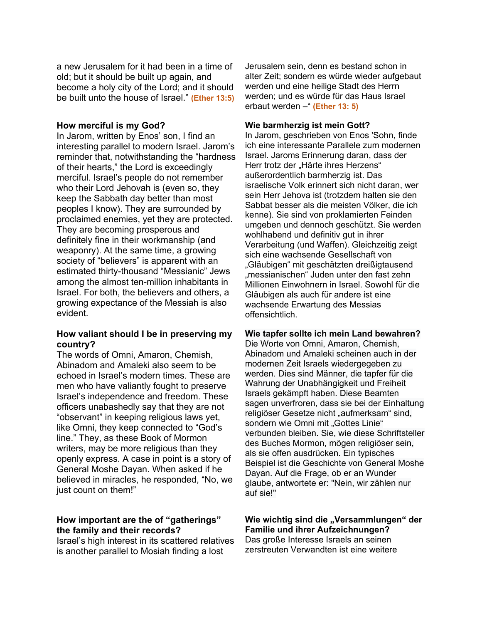a new Jerusalem for it had been in a time of old; but it should be built up again, and become a holy city of the Lord; and it should be built unto the house of Israel." **(Ether 13:5)**

### **How merciful is my God?**

In Jarom, written by Enos' son, I find an interesting parallel to modern Israel. Jarom's reminder that, notwithstanding the "hardness of their hearts," the Lord is exceedingly merciful. Israel's people do not remember who their Lord Jehovah is (even so, they keep the Sabbath day better than most peoples I know). They are surrounded by proclaimed enemies, yet they are protected. They are becoming prosperous and definitely fine in their workmanship (and weaponry). At the same time, a growing society of "believers" is apparent with an estimated thirty-thousand "Messianic" Jews among the almost ten-million inhabitants in Israel. For both, the believers and others, a growing expectance of the Messiah is also evident.

## **How valiant should I be in preserving my country?**

The words of Omni, Amaron, Chemish, Abinadom and Amaleki also seem to be echoed in Israel's modern times. These are men who have valiantly fought to preserve Israel's independence and freedom. These officers unabashedly say that they are not "observant" in keeping religious laws yet, like Omni, they keep connected to "God's line." They, as these Book of Mormon writers, may be more religious than they openly express. A case in point is a story of General Moshe Dayan. When asked if he believed in miracles, he responded, "No, we just count on them!"

## **How important are the of "gatherings" the family and their records?**

Israel's high interest in its scattered relatives is another parallel to Mosiah finding a lost

Jerusalem sein, denn es bestand schon in alter Zeit; sondern es würde wieder aufgebaut werden und eine heilige Stadt des Herrn werden; und es würde für das Haus Israel erbaut werden –" **(Ether 13: 5)**

### **Wie barmherzig ist mein Gott?**

In Jarom, geschrieben von Enos 'Sohn, finde ich eine interessante Parallele zum modernen Israel. Jaroms Erinnerung daran, dass der Herr trotz der "Härte ihres Herzens" außerordentlich barmherzig ist. Das israelische Volk erinnert sich nicht daran, wer sein Herr Jehova ist (trotzdem halten sie den Sabbat besser als die meisten Völker, die ich kenne). Sie sind von proklamierten Feinden umgeben und dennoch geschützt. Sie werden wohlhabend und definitiv gut in ihrer Verarbeitung (und Waffen). Gleichzeitig zeigt sich eine wachsende Gesellschaft von "Gläubigen" mit geschätzten dreißigtausend "messianischen" Juden unter den fast zehn Millionen Einwohnern in Israel. Sowohl für die Gläubigen als auch für andere ist eine wachsende Erwartung des Messias offensichtlich.

### **Wie tapfer sollte ich mein Land bewahren?**

Die Worte von Omni, Amaron, Chemish, Abinadom und Amaleki scheinen auch in der modernen Zeit Israels wiedergegeben zu werden. Dies sind Männer, die tapfer für die Wahrung der Unabhängigkeit und Freiheit Israels gekämpft haben. Diese Beamten sagen unverfroren, dass sie bei der Einhaltung religiöser Gesetze nicht "aufmerksam" sind, sondern wie Omni mit "Gottes Linie" verbunden bleiben. Sie, wie diese Schriftsteller des Buches Mormon, mögen religiöser sein, als sie offen ausdrücken. Ein typisches Beispiel ist die Geschichte von General Moshe Dayan. Auf die Frage, ob er an Wunder glaube, antwortete er: "Nein, wir zählen nur auf sie!"

#### Wie wichtig sind die "Versammlungen" der **Familie und ihrer Aufzeichnungen?** Das große Interesse Israels an seinen zerstreuten Verwandten ist eine weitere